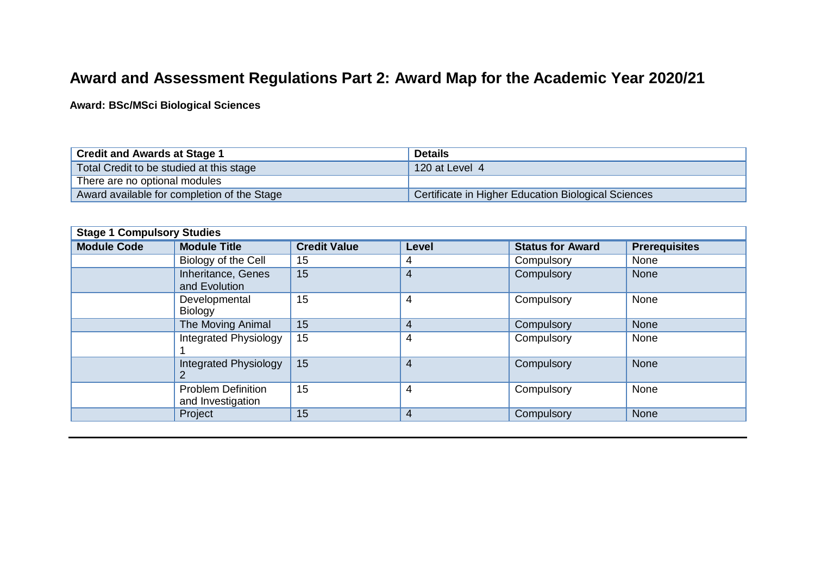## **Award and Assessment Regulations Part 2: Award Map for the Academic Year 2020/21**

**Award: BSc/MSci Biological Sciences**

| <b>Credit and Awards at Stage 1</b>         | <b>Details</b>                                      |
|---------------------------------------------|-----------------------------------------------------|
| Total Credit to be studied at this stage    | 120 at Level 4                                      |
| There are no optional modules               |                                                     |
| Award available for completion of the Stage | Certificate in Higher Education Biological Sciences |

| <b>Stage 1 Compulsory Studies</b> |                                                |                     |                |                         |                      |  |  |
|-----------------------------------|------------------------------------------------|---------------------|----------------|-------------------------|----------------------|--|--|
| <b>Module Code</b>                | <b>Module Title</b>                            | <b>Credit Value</b> | Level          | <b>Status for Award</b> | <b>Prerequisites</b> |  |  |
|                                   | Biology of the Cell                            | 15                  | 4              | Compulsory              | None                 |  |  |
|                                   | Inheritance, Genes<br>and Evolution            | 15                  | 4              | Compulsory              | <b>None</b>          |  |  |
|                                   | Developmental<br><b>Biology</b>                | 15                  | 4              | Compulsory              | None                 |  |  |
|                                   | The Moving Animal                              | 15                  | $\overline{4}$ | Compulsory              | None                 |  |  |
|                                   | Integrated Physiology                          | 15                  | 4              | Compulsory              | None                 |  |  |
|                                   | <b>Integrated Physiology</b>                   | 15                  | 4              | Compulsory              | <b>None</b>          |  |  |
|                                   | <b>Problem Definition</b><br>and Investigation | 15                  | 4              | Compulsory              | None                 |  |  |
|                                   | Project                                        | 15                  | 4              | Compulsory              | <b>None</b>          |  |  |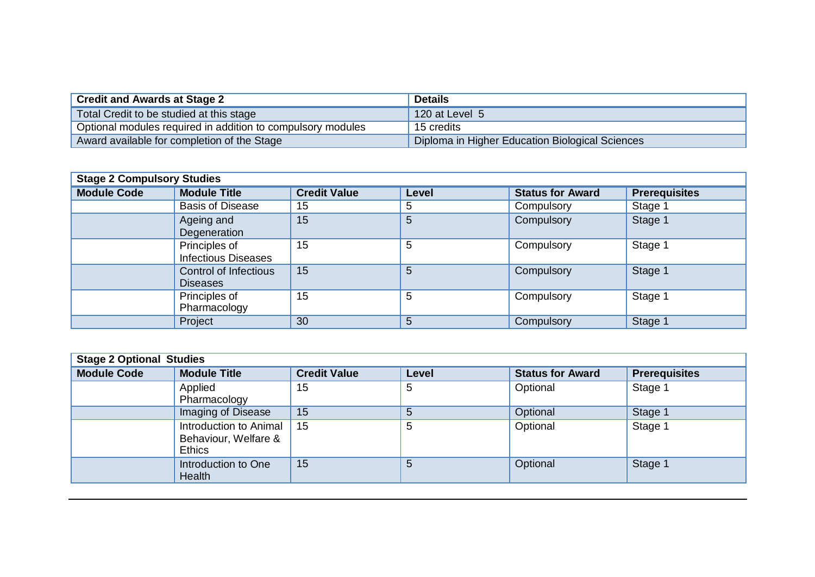| Credit and Awards at Stage 2 $\,$                           | <b>Details</b>                                  |
|-------------------------------------------------------------|-------------------------------------------------|
| Total Credit to be studied at this stage                    | 120 at Level $51$                               |
| Optional modules required in addition to compulsory modules | 15 credits                                      |
| Award available for completion of the Stage                 | Diploma in Higher Education Biological Sciences |

| <b>Stage 2 Compulsory Studies</b> |                                                 |                     |       |                         |                      |  |  |
|-----------------------------------|-------------------------------------------------|---------------------|-------|-------------------------|----------------------|--|--|
| <b>Module Code</b>                | <b>Module Title</b>                             | <b>Credit Value</b> | Level | <b>Status for Award</b> | <b>Prerequisites</b> |  |  |
|                                   | <b>Basis of Disease</b>                         | 15                  | 5     | Compulsory              | Stage 1              |  |  |
|                                   | Ageing and<br>Degeneration                      | 15                  | 5     | Compulsory              | Stage 1              |  |  |
|                                   | Principles of<br><b>Infectious Diseases</b>     | 15                  | 5     | Compulsory              | Stage 1              |  |  |
|                                   | <b>Control of Infectious</b><br><b>Diseases</b> | 15                  | 5     | Compulsory              | Stage 1              |  |  |
|                                   | Principles of<br>Pharmacology                   | 15                  | 5     | Compulsory              | Stage 1              |  |  |
|                                   | Project                                         | 30                  | 5     | Compulsory              | Stage 1              |  |  |

| <b>Stage 2 Optional Studies</b> |                                                                                                        |    |   |          |         |  |  |
|---------------------------------|--------------------------------------------------------------------------------------------------------|----|---|----------|---------|--|--|
| <b>Module Code</b>              | <b>Module Title</b><br><b>Status for Award</b><br><b>Credit Value</b><br><b>Prerequisites</b><br>Level |    |   |          |         |  |  |
|                                 | Applied<br>Pharmacology                                                                                | 15 | 5 | Optional | Stage 1 |  |  |
|                                 | Imaging of Disease                                                                                     | 15 | 5 | Optional | Stage 1 |  |  |
|                                 | Introduction to Animal<br>Behaviour, Welfare &<br><b>Ethics</b>                                        | 15 | 5 | Optional | Stage ' |  |  |
|                                 | Introduction to One<br><b>Health</b>                                                                   | 15 | 5 | Optional | Stage 1 |  |  |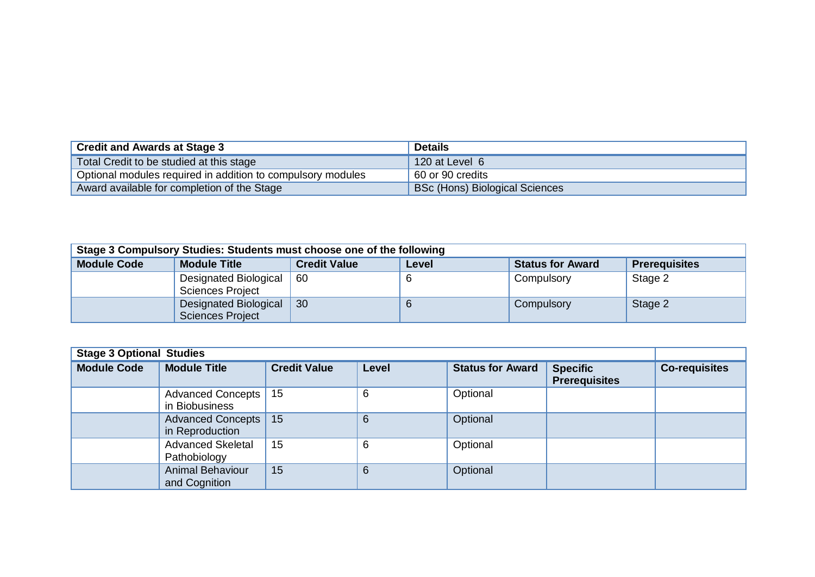| <b>Credit and Awards at Stage 3</b>                         | <b>Details</b>                        |
|-------------------------------------------------------------|---------------------------------------|
| Total Credit to be studied at this stage                    | 120 at Level 6                        |
| Optional modules required in addition to compulsory modules | 60 or 90 credits                      |
| Award available for completion of the Stage                 | <b>BSc (Hons) Biological Sciences</b> |

| Stage 3 Compulsory Studies: Students must choose one of the following |                                                                                                        |    |  |            |         |  |  |  |
|-----------------------------------------------------------------------|--------------------------------------------------------------------------------------------------------|----|--|------------|---------|--|--|--|
| <b>Module Code</b>                                                    | <b>Credit Value</b><br><b>Module Title</b><br><b>Status for Award</b><br><b>Prerequisites</b><br>Level |    |  |            |         |  |  |  |
|                                                                       | Designated Biological<br><b>Sciences Project</b>                                                       | 60 |  | Compulsory | Stage 2 |  |  |  |
|                                                                       | Designated Biological<br>Sciences Project                                                              | 30 |  | Compulsory | Stage 2 |  |  |  |

| <b>Stage 3 Optional Studies</b> |                                           |                     |                 |                         |                                         |                      |
|---------------------------------|-------------------------------------------|---------------------|-----------------|-------------------------|-----------------------------------------|----------------------|
| <b>Module Code</b>              | <b>Module Title</b>                       | <b>Credit Value</b> | <b>Level</b>    | <b>Status for Award</b> | <b>Specific</b><br><b>Prerequisites</b> | <b>Co-requisites</b> |
|                                 | Advanced Concepts   15<br>in Biobusiness  |                     | 6               | Optional                |                                         |                      |
|                                 | Advanced Concepts   15<br>in Reproduction |                     | $6\phantom{1}6$ | Optional                |                                         |                      |
|                                 | <b>Advanced Skeletal</b><br>Pathobiology  | 15                  | 6               | Optional                |                                         |                      |
|                                 | <b>Animal Behaviour</b><br>and Cognition  | 15                  | $6\phantom{1}6$ | Optional                |                                         |                      |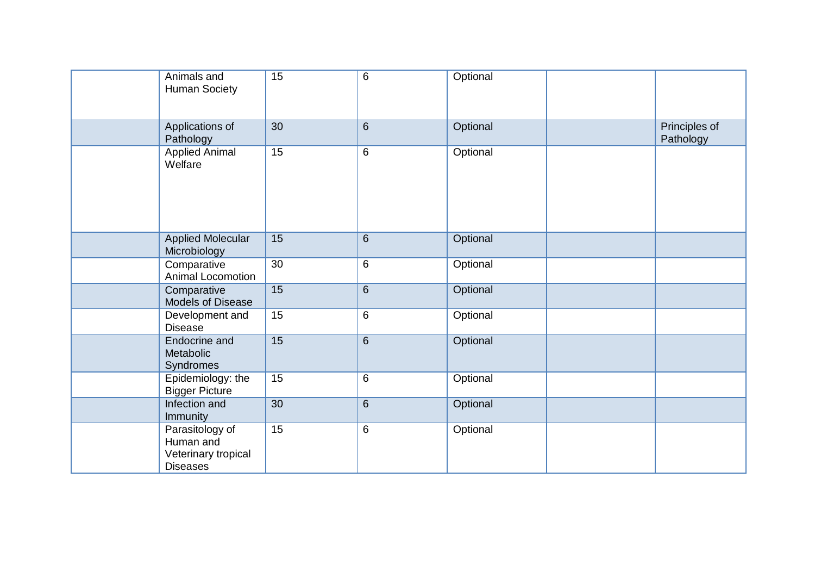| Animals and<br><b>Human Society</b>                                    | 15              | $6\phantom{1}$ | Optional |                            |
|------------------------------------------------------------------------|-----------------|----------------|----------|----------------------------|
| Applications of<br>Pathology                                           | 30              | 6              | Optional | Principles of<br>Pathology |
| <b>Applied Animal</b><br>Welfare                                       | $\overline{15}$ | $\,6$          | Optional |                            |
| <b>Applied Molecular</b><br>Microbiology                               | 15              | $6\phantom{1}$ | Optional |                            |
| Comparative<br>Animal Locomotion                                       | 30              | $\,6$          | Optional |                            |
| Comparative<br>Models of Disease                                       | 15              | $6\phantom{1}$ | Optional |                            |
| Development and<br><b>Disease</b>                                      | 15              | 6              | Optional |                            |
| Endocrine and<br>Metabolic<br><b>Syndromes</b>                         | 15              | $6\phantom{1}$ | Optional |                            |
| Epidemiology: the<br><b>Bigger Picture</b>                             | 15              | $6\phantom{1}$ | Optional |                            |
| Infection and<br><b>Immunity</b>                                       | 30              | $6\phantom{1}$ | Optional |                            |
| Parasitology of<br>Human and<br>Veterinary tropical<br><b>Diseases</b> | 15              | 6              | Optional |                            |